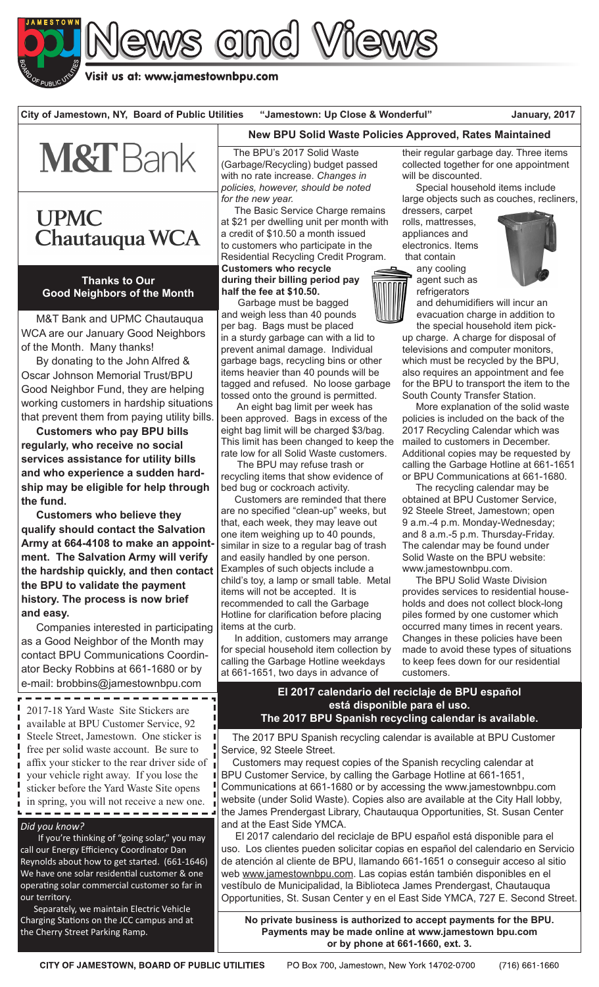

Visit us at: www.jamestownbpu.com

**City of Jamestown, NY, Board of Public Utilities "Jamestown: Up Close & Wonderful" January, 2017**



# **UPMC** Chautauqua WCA

**Thanks to Our Good Neighbors of the Month**

 M&T Bank and UPMC Chautauqua WCA are our January Good Neighbors of the Month. Many thanks!

 By donating to the John Alfred & Oscar Johnson Memorial Trust/BPU Good Neighbor Fund, they are helping working customers in hardship situations that prevent them from paying utility bills.

 **Customers who pay BPU bills regularly, who receive no social services assistance for utility bills and who experience a sudden hardship may be eligible for help through the fund.**

 **Customers who believe they qualify should contact the Salvation Army at 664-4108 to make an appointment. The Salvation Army will verify the hardship quickly, and then contact the BPU to validate the payment history. The process is now brief and easy.**

Companies interested in participating as a Good Neighbor of the Month may contact BPU Communications Coordinator Becky Robbins at 661-1680 or by e-mail: brobbins@jamestownbpu.com

- - - - - - - - - available at BPU Customer Service, 92 Steele Street, Jamestown. One sticker is free per solid waste account. Be sure to affix your sticker to the rear driver side of your vehicle right away. If you lose the sticker before the Yard Waste Site opens in spring, you will not receive a new one.

#### *Did you know?*

 If you're thinking of "going solar," you may call our Energy Efficiency Coordinator Dan Reynolds about how to get started. (661-1646) We have one solar residential customer & one operating solar commercial customer so far in our territory.

 Separately, we maintain Electric Vehicle Charging Stations on the JCC campus and at the Cherry Street Parking Ramp.

### **New BPU Solid Waste Policies Approved, Rates Maintained**

 The BPU's 2017 Solid Waste (Garbage/Recycling) budget passed with no rate increase. *Changes in policies, however, should be noted for the new year.*

 The Basic Service Charge remains at \$21 per dwelling unit per month with a credit of \$10.50 a month issued to customers who participate in the Residential Recycling Credit Program. **Customers who recycle during their billing period pay half the fee at \$10.50.**

 Garbage must be bagged and weigh less than 40 pounds per bag. Bags must be placed in a sturdy garbage can with a lid to prevent animal damage. Individual garbage bags, recycling bins or other items heavier than 40 pounds will be tagged and refused. No loose garbage tossed onto the ground is permitted.

 An eight bag limit per week has been approved. Bags in excess of the eight bag limit will be charged \$3/bag. This limit has been changed to keep the rate low for all Solid Waste customers.

 The BPU may refuse trash or recycling items that show evidence of bed bug or cockroach activity.

 Customers are reminded that there are no specified "clean-up" weeks, but that, each week, they may leave out one item weighing up to 40 pounds, similar in size to a regular bag of trash and easily handled by one person. Examples of such objects include a child's toy, a lamp or small table. Metal items will not be accepted. It is recommended to call the Garbage Hotline for clarification before placing items at the curb.

 In addition, customers may arrange for special household item collection by calling the Garbage Hotline weekdays at 661-1651, two days in advance of

their regular garbage day. Three items collected together for one appointment will be discounted.

 Special household items include large objects such as couches, recliners,

dressers, carpet rolls, mattresses, appliances and electronics. Items that contain any cooling



agent such as refrigerators and dehumidifiers will incur an evacuation charge in addition to

the special household item pickup charge. A charge for disposal of televisions and computer monitors, which must be recycled by the BPU, also requires an appointment and fee for the BPU to transport the item to the South County Transfer Station.

 More explanation of the solid waste policies is included on the back of the 2017 Recycling Calendar which was mailed to customers in December. Additional copies may be requested by calling the Garbage Hotline at 661-1651 or BPU Communications at 661-1680.

 The recycling calendar may be obtained at BPU Customer Service, 92 Steele Street, Jamestown; open 9 a.m.-4 p.m. Monday-Wednesday; and 8 a.m.-5 p.m. Thursday-Friday. The calendar may be found under Solid Waste on the BPU website: www.jamestownbpu.com.

 The BPU Solid Waste Division provides services to residential households and does not collect block-long piles formed by one customer which occurred many times in recent years. Changes in these policies have been made to avoid these types of situations to keep fees down for our residential customers.

#### **El 2017 calendario del reciclaje de BPU español está disponible para el uso. The 2017-18 Yard Waste Site Stickers are a sponish recycling calendar is available.**<br>The 2017 BPU Spanish recycling calendar is available.

 The 2017 BPU Spanish recycling calendar is available at BPU Customer Service, 92 Steele Street.

 Customers may request copies of the Spanish recycling calendar at BPU Customer Service, by calling the Garbage Hotline at 661-1651, Communications at 661-1680 or by accessing the www.jamestownbpu.com website (under Solid Waste). Copies also are available at the City Hall lobby, the James Prendergast Library, Chautauqua Opportunities, St. Susan Center and at the East Side YMCA.

 El 2017 calendario del reciclaje de BPU español está disponible para el uso. Los clientes pueden solicitar copias en español del calendario en Servicio de atención al cliente de BPU, llamando 661-1651 o conseguir acceso al sitio web www.jamestownbpu.com. Las copias están también disponibles en el vestíbulo de Municipalidad, la Biblioteca James Prendergast, Chautauqua Opportunities, St. Susan Center y en el East Side YMCA, 727 E. Second Street.

**No private business is authorized to accept payments for the BPU. Payments may be made online at www.jamestown bpu.com or by phone at 661-1660, ext. 3.**